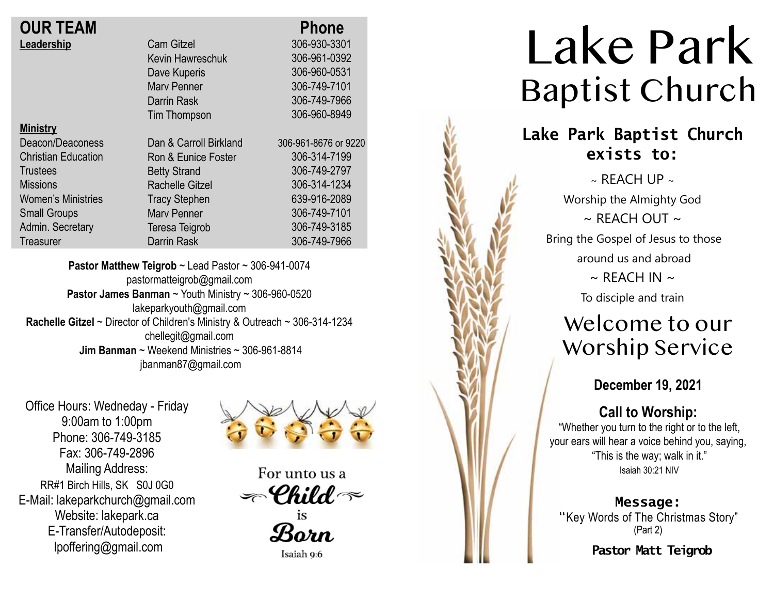| <b>OUR TEAM</b> |  |
|-----------------|--|
| Leadership      |  |

| <b>OUR TEAM</b>            |                        | <b>Phone</b>         |
|----------------------------|------------------------|----------------------|
| Leadership                 | <b>Cam Gitzel</b>      | 306-930-3301         |
|                            | Kevin Hawreschuk       | 306-961-0392         |
|                            | Dave Kuperis           | 306-960-0531         |
|                            | <b>Mary Penner</b>     | 306-749-7101         |
|                            | Darrin Rask            | 306-749-7966         |
|                            | <b>Tim Thompson</b>    | 306-960-8949         |
| <b>Ministry</b>            |                        |                      |
| Deacon/Deaconess           | Dan & Carroll Birkland | 306-961-8676 or 9220 |
| <b>Christian Education</b> | Ron & Eunice Foster    | 306-314-7199         |
| <b>Trustees</b>            | <b>Betty Strand</b>    | 306-749-2797         |
| <b>Missions</b>            | <b>Rachelle Gitzel</b> | 306-314-1234         |
| <b>Women's Ministries</b>  | <b>Tracy Stephen</b>   | 639-916-2089         |
| <b>Small Groups</b>        | <b>Mary Penner</b>     | 306-749-7101         |
| Admin. Secretary           | Teresa Teigrob         | 306-749-3185         |
| Treasurer                  | <b>Darrin Rask</b>     | 306-749-7966         |
|                            |                        |                      |

**Pastor Matthew Teigrob** ~ Lead Pastor ~ 306-941-0074 pastormatteigrob@gmail.com **Pastor James Banman** ~ Youth Ministry ~ 306-960-0520 lakeparkyouth@gmail.com **Rachelle Gitzel** ~ Director of Children's Ministry & Outreach ~ 306-314-1234 chellegit@gmail.com  **Jim Banman** ~ Weekend Ministries ~ 306-961-8814 jbanman87@gmail.com

Office Hours: Wedneday - Friday 9:00am to 1:00pm Phone: 306-749-3185 Fax: 306-749-2896 Mailing Address: RR#1 Birch Hills, SK S0J 0G0 E-Mail: lakeparkchurch@gmail.com Website: lakepark.ca E-Transfer/Autodeposit: lpoffering@gmail.com



For unto us a  $\textcolor{black}{\mathcal{P}}$ Child  $\textcolor{black}{\mathcal{P}}$ 

Born

Isaiah 9:6